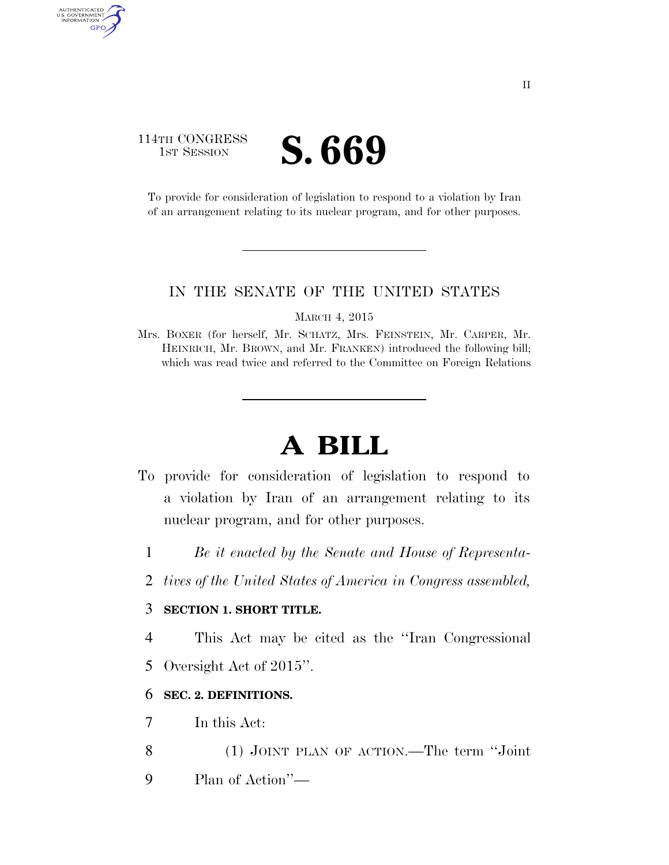### 114TH CONGRESS **IST SESSION S. 669**

AUTHENTICATED<br>U.S. GOVERNMENT<br>INFORMATION GPO

> To provide for consideration of legislation to respond to a violation by Iran of an arrangement relating to its nuclear program, and for other purposes.

#### IN THE SENATE OF THE UNITED STATES

MARCH 4, 2015

Mrs. BOXER (for herself, Mr. SCHATZ, Mrs. FEINSTEIN, Mr. CARPER, Mr. HEINRICH, Mr. BROWN, and Mr. FRANKEN) introduced the following bill; which was read twice and referred to the Committee on Foreign Relations

# **A BILL**

- To provide for consideration of legislation to respond to a violation by Iran of an arrangement relating to its nuclear program, and for other purposes.
	- 1 *Be it enacted by the Senate and House of Representa-*
	- 2 *tives of the United States of America in Congress assembled,*

#### 3 **SECTION 1. SHORT TITLE.**

4 This Act may be cited as the ''Iran Congressional

5 Oversight Act of 2015''.

#### 6 **SEC. 2. DEFINITIONS.**

7 In this Act:

8 (1) JOINT PLAN OF ACTION.—The term ''Joint

9 Plan of Action''—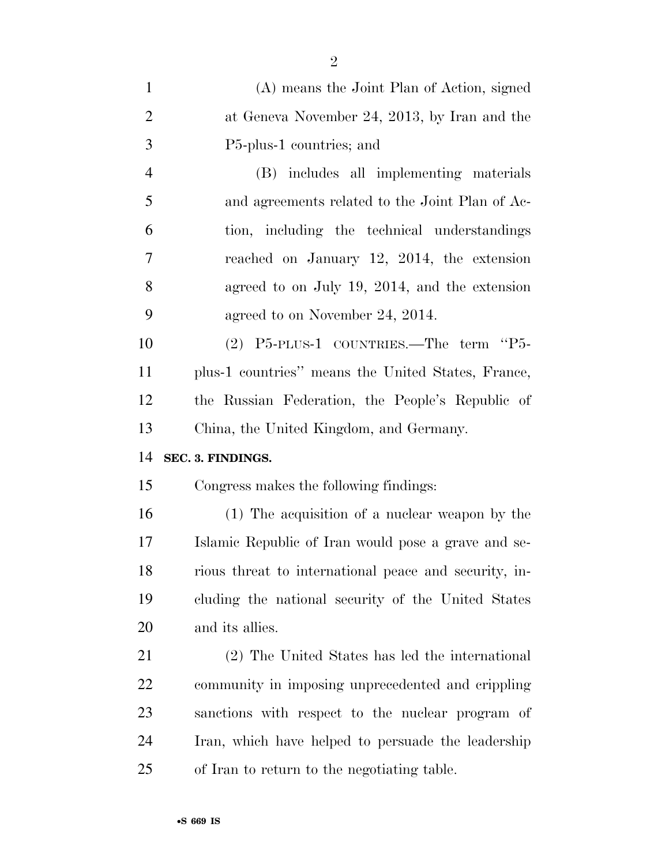| $\mathbf{1}$   | (A) means the Joint Plan of Action, signed            |
|----------------|-------------------------------------------------------|
| $\overline{2}$ | at Geneva November 24, 2013, by Iran and the          |
| 3              | P5-plus-1 countries; and                              |
| $\overline{4}$ | (B) includes all implementing materials               |
| 5              | and agreements related to the Joint Plan of Ac-       |
| 6              | tion, including the technical understandings          |
| 7              | reached on January 12, 2014, the extension            |
| 8              | agreed to on July 19, 2014, and the extension         |
| 9              | agreed to on November 24, 2014.                       |
| 10             | (2) P5-PLUS-1 COUNTRIES.—The term "P5-                |
| 11             | plus-1 countries" means the United States, France,    |
| 12             | the Russian Federation, the People's Republic of      |
| 13             | China, the United Kingdom, and Germany.               |
| 14             | SEC. 3. FINDINGS.                                     |
| 15             | Congress makes the following findings:                |
| 16             | (1) The acquisition of a nuclear weapon by the        |
| 17             | Islamic Republic of Iran would pose a grave and se-   |
| 18             | rious threat to international peace and security, in- |
| 19             | cluding the national security of the United States    |
| 20             | and its allies.                                       |
| 21             | (2) The United States has led the international       |
| 22             | community in imposing unprecedented and crippling     |
| 23             | sanctions with respect to the nuclear program of      |
| 24             | Iran, which have helped to persuade the leadership    |
| 25             | of Iran to return to the negotiating table.           |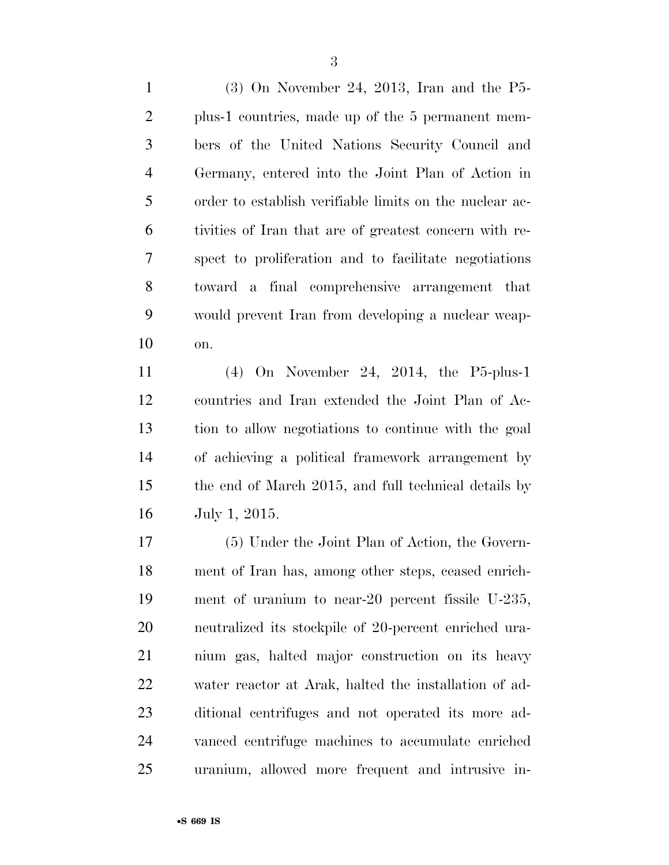(3) On November 24, 2013, Iran and the P5- plus-1 countries, made up of the 5 permanent mem- bers of the United Nations Security Council and Germany, entered into the Joint Plan of Action in order to establish verifiable limits on the nuclear ac- tivities of Iran that are of greatest concern with re- spect to proliferation and to facilitate negotiations toward a final comprehensive arrangement that would prevent Iran from developing a nuclear weap-on.

 (4) On November 24, 2014, the P5-plus-1 countries and Iran extended the Joint Plan of Ac- tion to allow negotiations to continue with the goal of achieving a political framework arrangement by the end of March 2015, and full technical details by July 1, 2015.

 (5) Under the Joint Plan of Action, the Govern- ment of Iran has, among other steps, ceased enrich- ment of uranium to near-20 percent fissile U-235, neutralized its stockpile of 20-percent enriched ura- nium gas, halted major construction on its heavy water reactor at Arak, halted the installation of ad- ditional centrifuges and not operated its more ad- vanced centrifuge machines to accumulate enriched uranium, allowed more frequent and intrusive in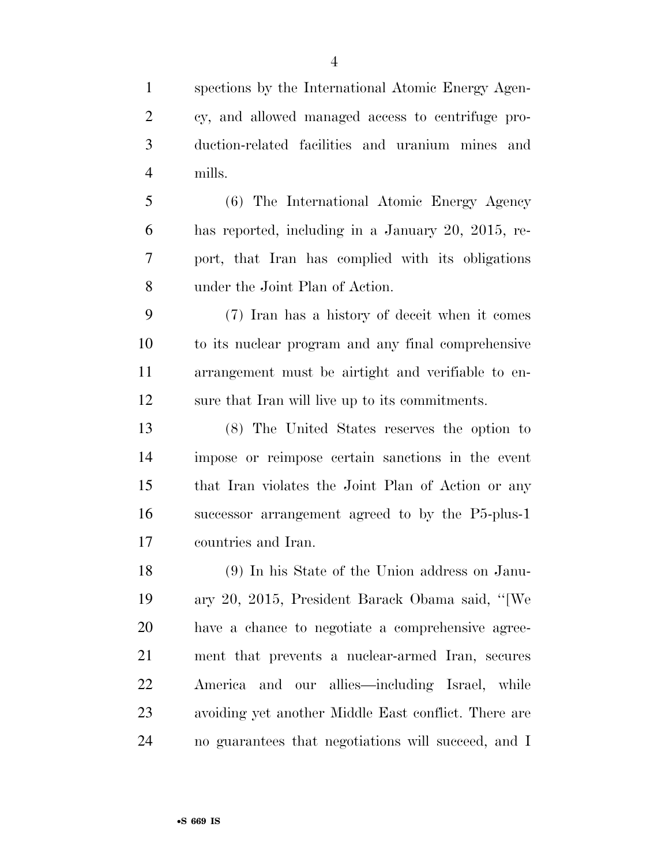spections by the International Atomic Energy Agen- cy, and allowed managed access to centrifuge pro- duction-related facilities and uranium mines and mills.

 (6) The International Atomic Energy Agency has reported, including in a January 20, 2015, re- port, that Iran has complied with its obligations under the Joint Plan of Action.

 (7) Iran has a history of deceit when it comes to its nuclear program and any final comprehensive arrangement must be airtight and verifiable to en-sure that Iran will live up to its commitments.

 (8) The United States reserves the option to impose or reimpose certain sanctions in the event that Iran violates the Joint Plan of Action or any successor arrangement agreed to by the P5-plus-1 countries and Iran.

 (9) In his State of the Union address on Janu- ary 20, 2015, President Barack Obama said, ''[We have a chance to negotiate a comprehensive agree- ment that prevents a nuclear-armed Iran, secures America and our allies—including Israel, while avoiding yet another Middle East conflict. There are no guarantees that negotiations will succeed, and I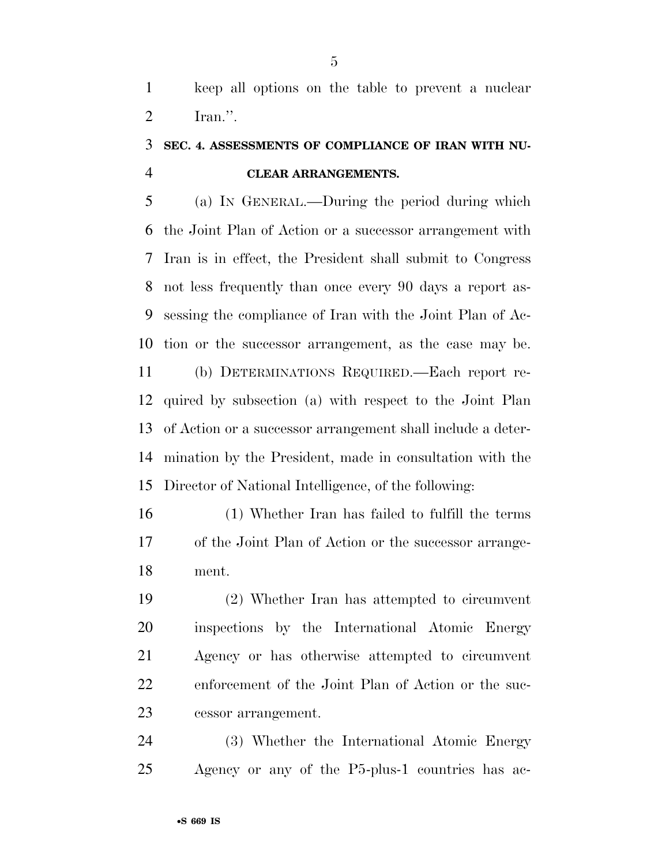keep all options on the table to prevent a nuclear Iran.''.

## **SEC. 4. ASSESSMENTS OF COMPLIANCE OF IRAN WITH NU-CLEAR ARRANGEMENTS.**

 (a) IN GENERAL.—During the period during which the Joint Plan of Action or a successor arrangement with Iran is in effect, the President shall submit to Congress not less frequently than once every 90 days a report as- sessing the compliance of Iran with the Joint Plan of Ac- tion or the successor arrangement, as the case may be. (b) DETERMINATIONS REQUIRED.—Each report re- quired by subsection (a) with respect to the Joint Plan of Action or a successor arrangement shall include a deter-mination by the President, made in consultation with the

Director of National Intelligence, of the following:

 (1) Whether Iran has failed to fulfill the terms of the Joint Plan of Action or the successor arrange-ment.

 (2) Whether Iran has attempted to circumvent inspections by the International Atomic Energy Agency or has otherwise attempted to circumvent enforcement of the Joint Plan of Action or the suc-cessor arrangement.

 (3) Whether the International Atomic Energy Agency or any of the P5-plus-1 countries has ac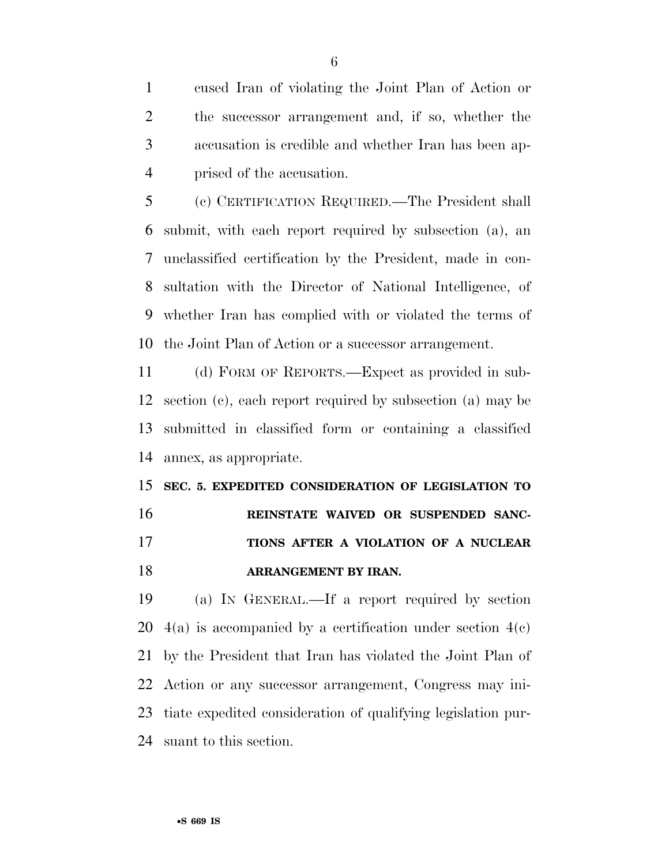cused Iran of violating the Joint Plan of Action or the successor arrangement and, if so, whether the accusation is credible and whether Iran has been ap-prised of the accusation.

 (c) CERTIFICATION REQUIRED.—The President shall submit, with each report required by subsection (a), an unclassified certification by the President, made in con- sultation with the Director of National Intelligence, of whether Iran has complied with or violated the terms of the Joint Plan of Action or a successor arrangement.

 (d) FORM OF REPORTS.—Expect as provided in sub- section (c), each report required by subsection (a) may be submitted in classified form or containing a classified annex, as appropriate.

 **SEC. 5. EXPEDITED CONSIDERATION OF LEGISLATION TO REINSTATE WAIVED OR SUSPENDED SANC- TIONS AFTER A VIOLATION OF A NUCLEAR ARRANGEMENT BY IRAN.** 

 (a) IN GENERAL.—If a report required by section  $4(a)$  is accompanied by a certification under section  $4(c)$  by the President that Iran has violated the Joint Plan of Action or any successor arrangement, Congress may ini- tiate expedited consideration of qualifying legislation pur-suant to this section.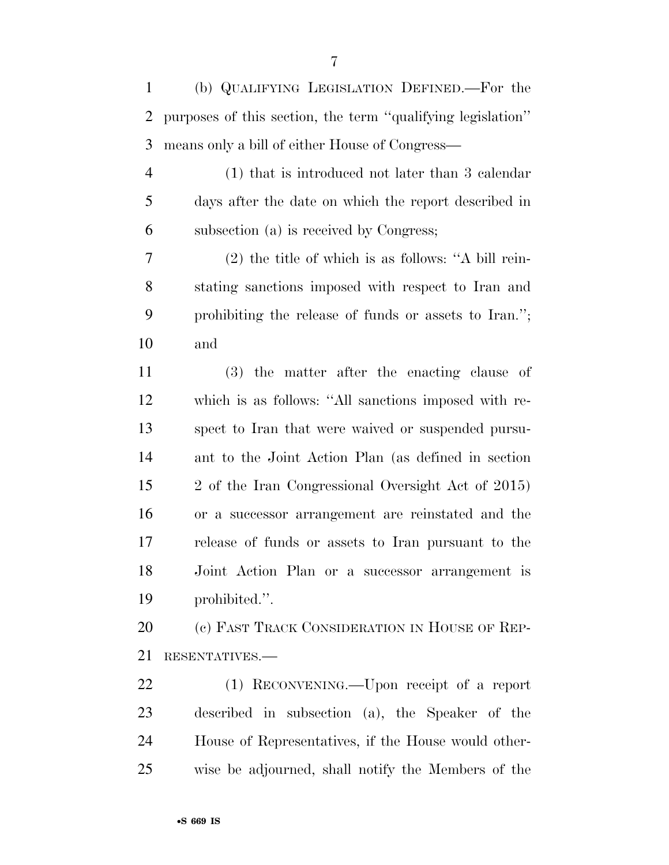(b) QUALIFYING LEGISLATION DEFINED.—For the

 purposes of this section, the term ''qualifying legislation'' means only a bill of either House of Congress—

 (1) that is introduced not later than 3 calendar days after the date on which the report described in subsection (a) is received by Congress;

 (2) the title of which is as follows: ''A bill rein- stating sanctions imposed with respect to Iran and prohibiting the release of funds or assets to Iran.''; and

 (3) the matter after the enacting clause of which is as follows: ''All sanctions imposed with re- spect to Iran that were waived or suspended pursu- ant to the Joint Action Plan (as defined in section 2 of the Iran Congressional Oversight Act of 2015) or a successor arrangement are reinstated and the release of funds or assets to Iran pursuant to the Joint Action Plan or a successor arrangement is prohibited.''.

20 (c) FAST TRACK CONSIDERATION IN HOUSE OF REP-RESENTATIVES.—

 (1) RECONVENING.—Upon receipt of a report described in subsection (a), the Speaker of the House of Representatives, if the House would other-wise be adjourned, shall notify the Members of the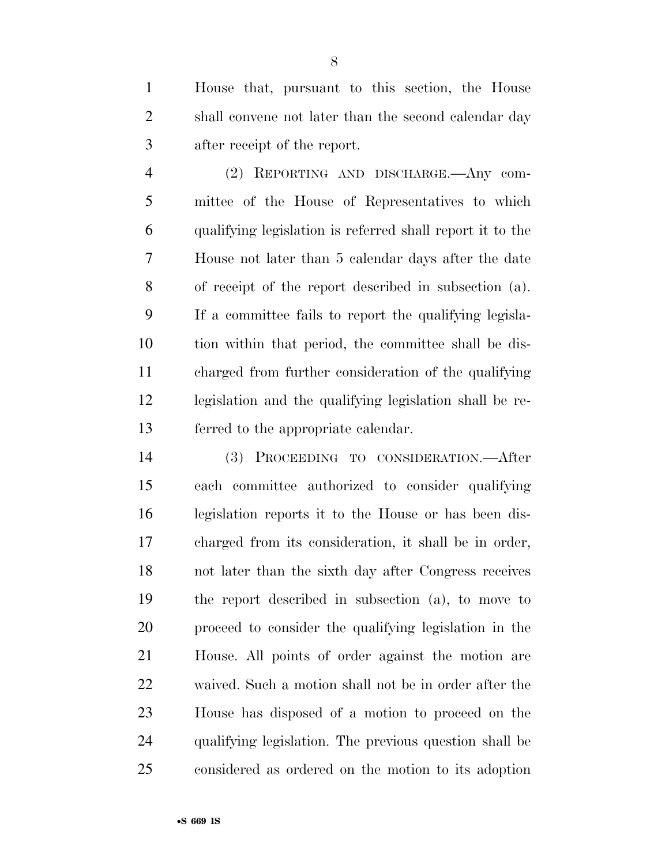House that, pursuant to this section, the House shall convene not later than the second calendar day after receipt of the report.

 (2) REPORTING AND DISCHARGE.—Any com- mittee of the House of Representatives to which qualifying legislation is referred shall report it to the House not later than 5 calendar days after the date of receipt of the report described in subsection (a). If a committee fails to report the qualifying legisla- tion within that period, the committee shall be dis- charged from further consideration of the qualifying legislation and the qualifying legislation shall be re-ferred to the appropriate calendar.

 (3) PROCEEDING TO CONSIDERATION.—After each committee authorized to consider qualifying legislation reports it to the House or has been dis- charged from its consideration, it shall be in order, not later than the sixth day after Congress receives the report described in subsection (a), to move to proceed to consider the qualifying legislation in the House. All points of order against the motion are waived. Such a motion shall not be in order after the House has disposed of a motion to proceed on the qualifying legislation. The previous question shall be considered as ordered on the motion to its adoption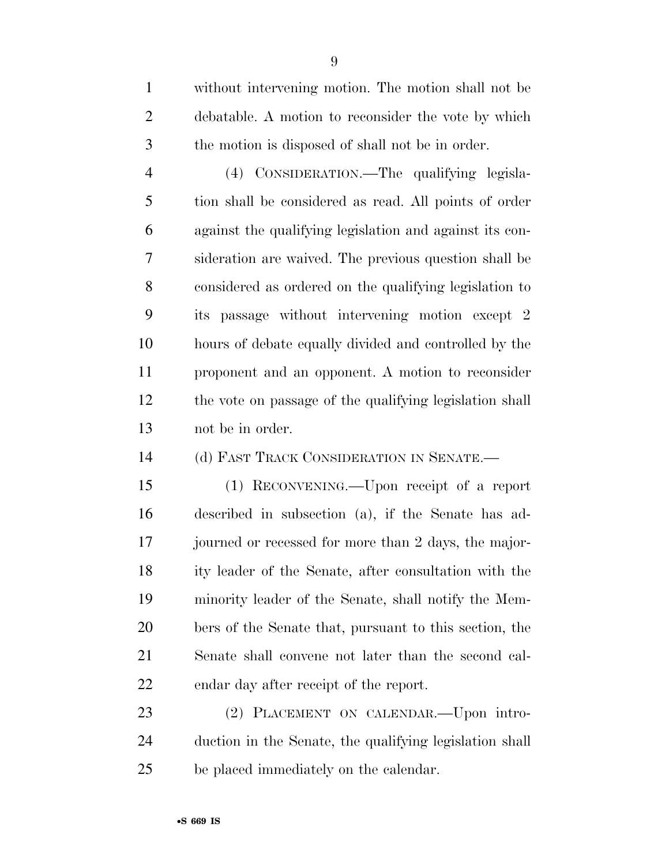without intervening motion. The motion shall not be debatable. A motion to reconsider the vote by which the motion is disposed of shall not be in order.

 (4) CONSIDERATION.—The qualifying legisla- tion shall be considered as read. All points of order against the qualifying legislation and against its con- sideration are waived. The previous question shall be considered as ordered on the qualifying legislation to its passage without intervening motion except 2 hours of debate equally divided and controlled by the proponent and an opponent. A motion to reconsider the vote on passage of the qualifying legislation shall not be in order.

(d) FAST TRACK CONSIDERATION IN SENATE.—

 (1) RECONVENING.—Upon receipt of a report described in subsection (a), if the Senate has ad- journed or recessed for more than 2 days, the major- ity leader of the Senate, after consultation with the minority leader of the Senate, shall notify the Mem- bers of the Senate that, pursuant to this section, the Senate shall convene not later than the second cal-endar day after receipt of the report.

 (2) PLACEMENT ON CALENDAR.—Upon intro- duction in the Senate, the qualifying legislation shall be placed immediately on the calendar.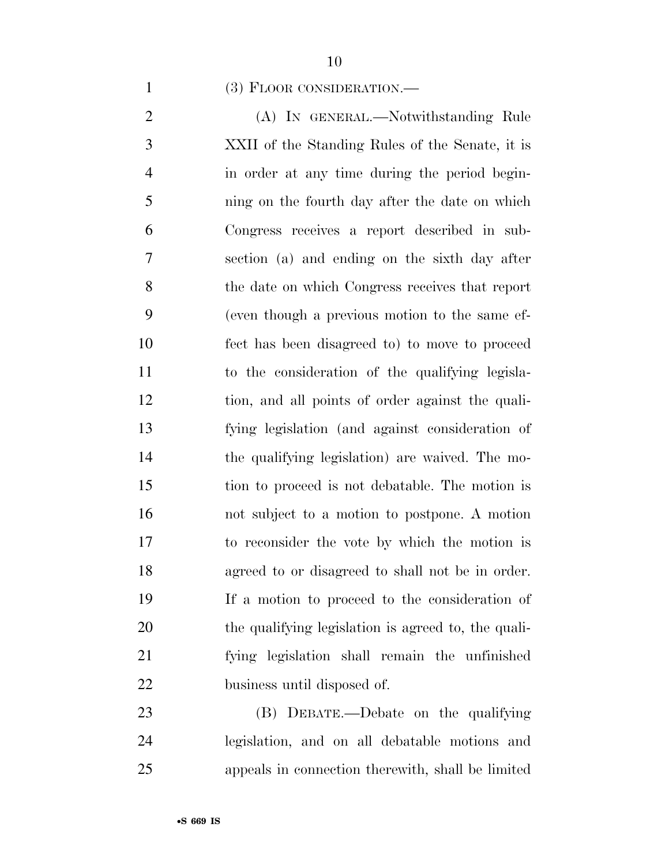#### (3) FLOOR CONSIDERATION.—

2 (A) IN GENERAL.—Notwithstanding Rule XXII of the Standing Rules of the Senate, it is in order at any time during the period begin- ning on the fourth day after the date on which Congress receives a report described in sub- section (a) and ending on the sixth day after the date on which Congress receives that report (even though a previous motion to the same ef- fect has been disagreed to) to move to proceed to the consideration of the qualifying legisla- tion, and all points of order against the quali- fying legislation (and against consideration of the qualifying legislation) are waived. The mo- tion to proceed is not debatable. The motion is not subject to a motion to postpone. A motion to reconsider the vote by which the motion is agreed to or disagreed to shall not be in order. If a motion to proceed to the consideration of the qualifying legislation is agreed to, the quali- fying legislation shall remain the unfinished business until disposed of.

 (B) DEBATE.—Debate on the qualifying legislation, and on all debatable motions and appeals in connection therewith, shall be limited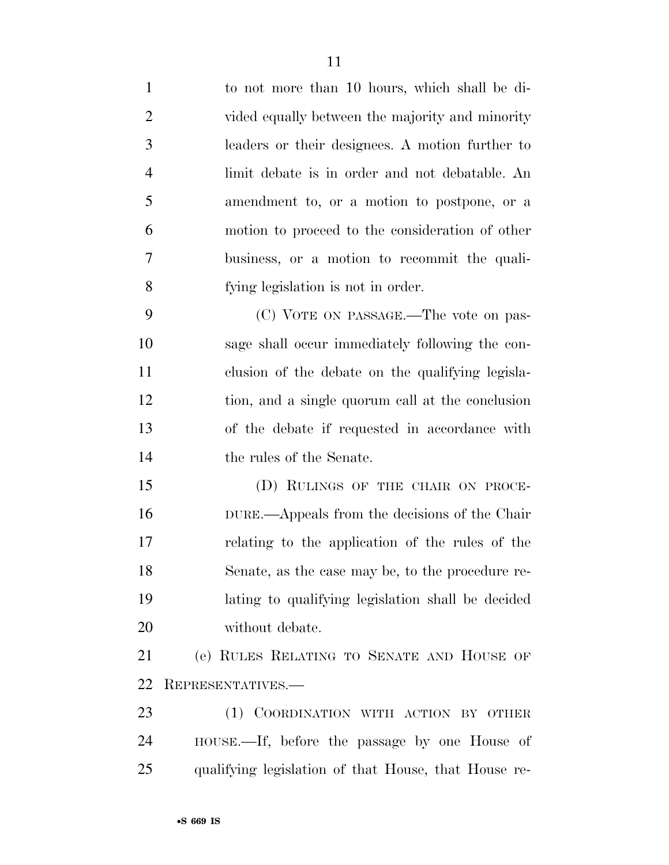| $\mathbf{1}$   | to not more than 10 hours, which shall be di-        |
|----------------|------------------------------------------------------|
| $\overline{2}$ | vided equally between the majority and minority      |
| 3              | leaders or their designees. A motion further to      |
| $\overline{4}$ | limit debate is in order and not debatable. An       |
| 5              | amendment to, or a motion to postpone, or a          |
| 6              | motion to proceed to the consideration of other      |
| $\tau$         | business, or a motion to recommit the quali-         |
| 8              | fying legislation is not in order.                   |
| 9              | (C) VOTE ON PASSAGE.—The vote on pas-                |
| 10             | sage shall occur immediately following the con-      |
| 11             | clusion of the debate on the qualifying legisla-     |
| 12             | tion, and a single quorum call at the conclusion     |
| 13             | of the debate if requested in accordance with        |
| 14             | the rules of the Senate.                             |
| 15             | (D) RULINGS OF THE CHAIR ON PROCE-                   |
| 16             | DURE.—Appeals from the decisions of the Chair        |
| 17             | relating to the application of the rules of the      |
| 18             | Senate, as the case may be, to the procedure re-     |
| 19             | lating to qualifying legislation shall be decided    |
| 20             | without debate.                                      |
| 21             | (e) RULES RELATING TO SENATE AND HOUSE OF            |
| 22             | REPRESENTATIVES.-                                    |
| 23             | (1) COORDINATION WITH ACTION BY OTHER                |
| 24             | HOUSE.—If, before the passage by one House of        |
| 25             | qualifying legislation of that House, that House re- |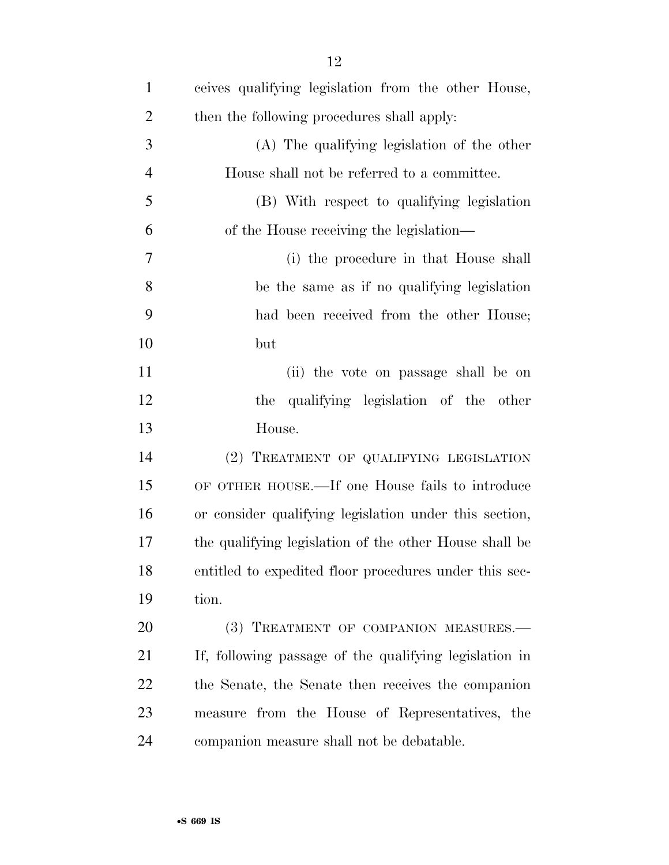| $\mathbf{1}$   | ceives qualifying legislation from the other House,    |
|----------------|--------------------------------------------------------|
| $\overline{2}$ | then the following procedures shall apply:             |
| 3              | (A) The qualifying legislation of the other            |
| $\overline{4}$ | House shall not be referred to a committee.            |
| 5              | (B) With respect to qualifying legislation             |
| 6              | of the House receiving the legislation—                |
| 7              | (i) the procedure in that House shall                  |
| 8              | be the same as if no qualifying legislation            |
| 9              | had been received from the other House;                |
| 10             | but                                                    |
| 11             | (ii) the vote on passage shall be on                   |
| 12             | qualifying legislation of the other<br>the             |
| 13             | House.                                                 |
| 14             | (2) TREATMENT OF QUALIFYING LEGISLATION                |
| 15             | OF OTHER HOUSE.—If one House fails to introduce        |
| 16             | or consider qualifying legislation under this section, |
| 17             | the qualifying legislation of the other House shall be |
| 18             | entitled to expedited floor procedures under this sec- |
| 19             | tion.                                                  |
| 20             | (3) TREATMENT OF COMPANION MEASURES.-                  |
| 21             | If, following passage of the qualifying legislation in |
| 22             | the Senate, the Senate then receives the companion     |
| 23             | measure from the House of Representatives, the         |
| 24             | companion measure shall not be debatable.              |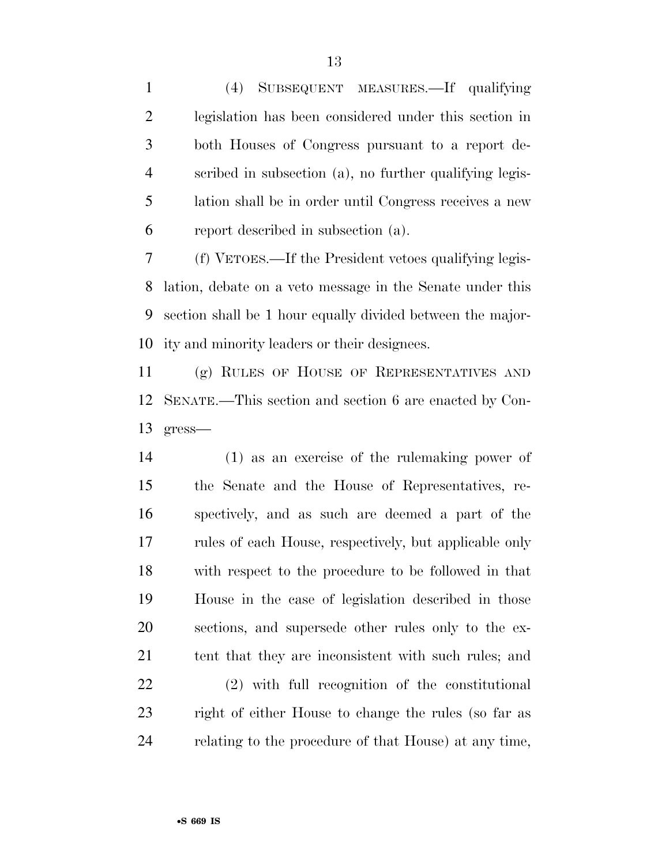(4) SUBSEQUENT MEASURES.—If qualifying legislation has been considered under this section in both Houses of Congress pursuant to a report de- scribed in subsection (a), no further qualifying legis- lation shall be in order until Congress receives a new report described in subsection (a).

 (f) VETOES.—If the President vetoes qualifying legis- lation, debate on a veto message in the Senate under this section shall be 1 hour equally divided between the major-ity and minority leaders or their designees.

 (g) RULES OF HOUSE OF REPRESENTATIVES AND SENATE.—This section and section 6 are enacted by Con-gress—

 (1) as an exercise of the rulemaking power of the Senate and the House of Representatives, re- spectively, and as such are deemed a part of the rules of each House, respectively, but applicable only with respect to the procedure to be followed in that House in the case of legislation described in those sections, and supersede other rules only to the ex-21 tent that they are inconsistent with such rules; and

 (2) with full recognition of the constitutional right of either House to change the rules (so far as relating to the procedure of that House) at any time,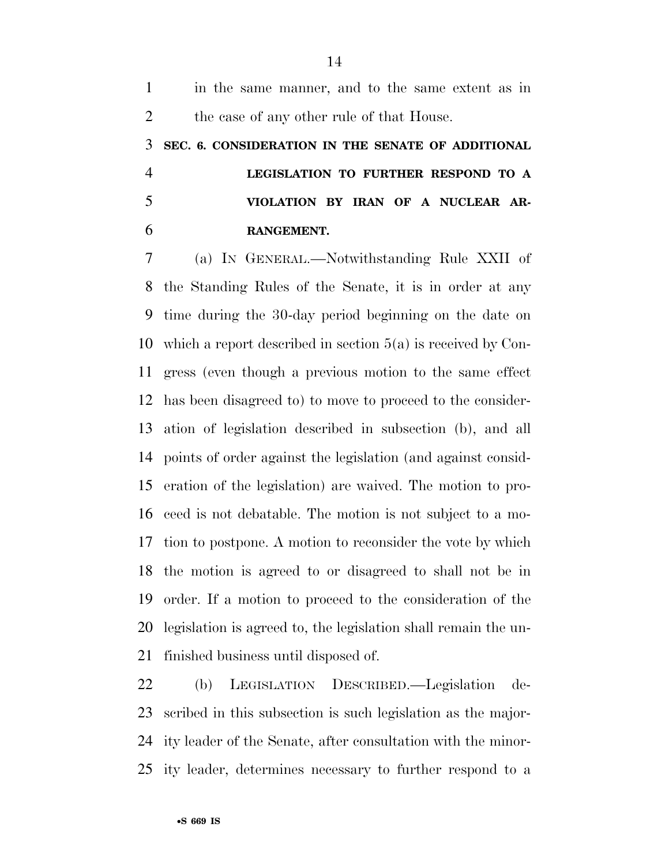in the same manner, and to the same extent as in 2 the case of any other rule of that House. **SEC. 6. CONSIDERATION IN THE SENATE OF ADDITIONAL LEGISLATION TO FURTHER RESPOND TO A VIOLATION BY IRAN OF A NUCLEAR AR-RANGEMENT.** 

 (a) IN GENERAL.—Notwithstanding Rule XXII of the Standing Rules of the Senate, it is in order at any time during the 30-day period beginning on the date on which a report described in section 5(a) is received by Con- gress (even though a previous motion to the same effect has been disagreed to) to move to proceed to the consider- ation of legislation described in subsection (b), and all points of order against the legislation (and against consid- eration of the legislation) are waived. The motion to pro- ceed is not debatable. The motion is not subject to a mo- tion to postpone. A motion to reconsider the vote by which the motion is agreed to or disagreed to shall not be in order. If a motion to proceed to the consideration of the legislation is agreed to, the legislation shall remain the un-finished business until disposed of.

 (b) LEGISLATION DESCRIBED.—Legislation de- scribed in this subsection is such legislation as the major- ity leader of the Senate, after consultation with the minor-ity leader, determines necessary to further respond to a